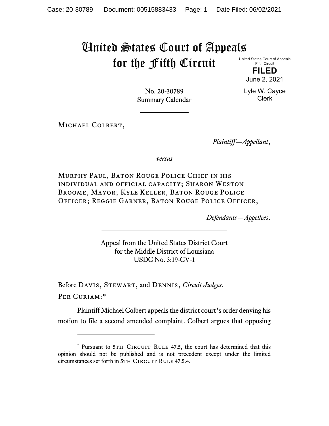# United States Court of Appeals for the Fifth Circuit

United States Court of Appeals Fifth Circuit

> **FILED** June 2, 2021

Lyle W. Cayce Clerk

No. 20-30789 Summary Calendar

Michael Colbert,

*Plaintiff—Appellant*,

*versus*

Murphy Paul, Baton Rouge Police Chief in his individual and official capacity; Sharon Weston Broome, Mayor; Kyle Keller, Baton Rouge Police Officer; Reggie Garner, Baton Rouge Police Officer,

*Defendants—Appellees*.

Appeal from the United States District Court for the Middle District of Louisiana USDC No. 3:19-CV-1

Before Davis, Stewart, and Dennis, *Circuit Judges*.

Per Curiam:[\\*](#page-0-0)

Plaintiff Michael Colbert appeals the district court's order denying his motion to file a second amended complaint. Colbert argues that opposing

<span id="page-0-0"></span><sup>\*</sup> Pursuant to 5TH CIRCUIT RULE 47.5, the court has determined that this opinion should not be published and is not precedent except under the limited circumstances set forth in 5TH CIRCUIT RULE 47.5.4.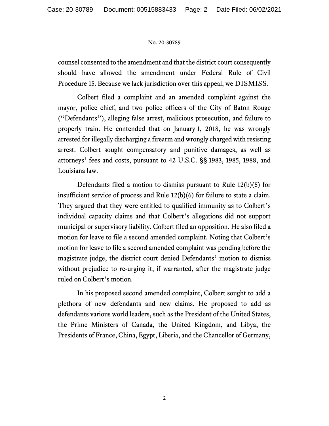counsel consented to the amendment and that the district court consequently should have allowed the amendment under Federal Rule of Civil Procedure 15. Because we lack jurisdiction over this appeal, we DISMISS.

Colbert filed a complaint and an amended complaint against the mayor, police chief, and two police officers of the City of Baton Rouge ("Defendants"), alleging false arrest, malicious prosecution, and failure to properly train. He contended that on January 1, 2018, he was wrongly arrested for illegally discharging a firearm and wrongly charged with resisting arrest. Colbert sought compensatory and punitive damages, as well as attorneys' fees and costs, pursuant to 42 U.S.C. §§ 1983, 1985, 1988, and Louisiana law.

Defendants filed a motion to dismiss pursuant to Rule 12(b)(5) for insufficient service of process and Rule 12(b)(6) for failure to state a claim. They argued that they were entitled to qualified immunity as to Colbert's individual capacity claims and that Colbert's allegations did not support municipal or supervisory liability. Colbert filed an opposition. He also filed a motion for leave to file a second amended complaint. Noting that Colbert's motion for leave to file a second amended complaint was pending before the magistrate judge, the district court denied Defendants' motion to dismiss without prejudice to re-urging it, if warranted, after the magistrate judge ruled on Colbert's motion.

In his proposed second amended complaint, Colbert sought to add a plethora of new defendants and new claims. He proposed to add as defendants various world leaders, such as the President of the United States, the Prime Ministers of Canada, the United Kingdom, and Libya, the Presidents of France, China, Egypt, Liberia, and the Chancellor of Germany,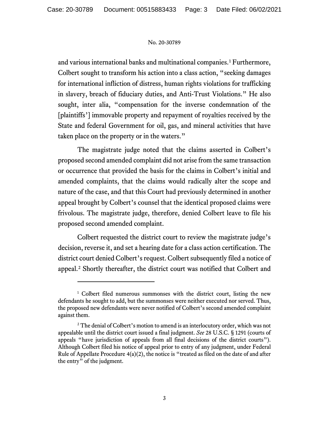and various international banks and multinational companies.<sup>[1](#page-2-0)</sup> Furthermore, Colbert sought to transform his action into a class action, "seeking damages for international infliction of distress, human rights violations for trafficking in slavery, breach of fiduciary duties, and Anti-Trust Violations." He also sought, inter alia, "compensation for the inverse condemnation of the [plaintiffs'] immovable property and repayment of royalties received by the State and federal Government for oil, gas, and mineral activities that have taken place on the property or in the waters."

The magistrate judge noted that the claims asserted in Colbert's proposed second amended complaint did not arise from the same transaction or occurrence that provided the basis for the claims in Colbert's initial and amended complaints, that the claims would radically alter the scope and nature of the case, and that this Court had previously determined in another appeal brought by Colbert's counsel that the identical proposed claims were frivolous. The magistrate judge, therefore, denied Colbert leave to file his proposed second amended complaint.

Colbert requested the district court to review the magistrate judge's decision, reverse it, and set a hearing date for a class action certification. The district court denied Colbert's request. Colbert subsequently filed a notice of appeal.[2](#page-2-1) Shortly thereafter, the district court was notified that Colbert and

<span id="page-2-0"></span><sup>&</sup>lt;sup>1</sup> Colbert filed numerous summonses with the district court, listing the new defendants he sought to add, but the summonses were neither executed nor served. Thus, the proposed new defendants were never notified of Colbert's second amended complaint against them.

<span id="page-2-1"></span><sup>&</sup>lt;sup>2</sup> The denial of Colbert's motion to amend is an interlocutory order, which was not appealable until the district court issued a final judgment. *See* 28 U.S.C. § 1291 (courts of appeals "have jurisdiction of appeals from all final decisions of the district courts"). Although Colbert filed his notice of appeal prior to entry of any judgment, under Federal Rule of Appellate Procedure 4(a)(2), the notice is "treated as filed on the date of and after the entry" of the judgment.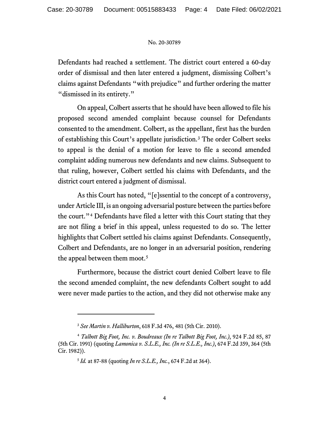Defendants had reached a settlement. The district court entered a 60-day order of dismissal and then later entered a judgment, dismissing Colbert's claims against Defendants "with prejudice" and further ordering the matter "dismissed in its entirety."

On appeal, Colbert asserts that he should have been allowed to file his proposed second amended complaint because counsel for Defendants consented to the amendment. Colbert, as the appellant, first has the burden of establishing this Court's appellate jurisdiction.[3](#page-3-0) The order Colbert seeks to appeal is the denial of a motion for leave to file a second amended complaint adding numerous new defendants and new claims. Subsequent to that ruling, however, Colbert settled his claims with Defendants, and the district court entered a judgment of dismissal.

As this Court has noted, "[e]ssential to the concept of a controversy, under Article III, is an ongoing adversarial posture between the parties before the court."[4](#page-3-1) Defendants have filed a letter with this Court stating that they are not filing a brief in this appeal, unless requested to do so. The letter highlights that Colbert settled his claims against Defendants. Consequently, Colbert and Defendants, are no longer in an adversarial position, rendering the appeal between them moot.<sup>[5](#page-3-2)</sup>

Furthermore, because the district court denied Colbert leave to file the second amended complaint, the new defendants Colbert sought to add were never made parties to the action, and they did not otherwise make any

<sup>3</sup> *See Martin v. Halliburton*, 618 F.3d 476, 481 (5th Cir. 2010).

<span id="page-3-2"></span><span id="page-3-1"></span><span id="page-3-0"></span><sup>4</sup> *Talbott Big Foot, Inc. v. Boudreaux (In re Talbott Big Foot, Inc.)*, 924 F.2d 85, 87 (5th Cir. 1991) (quoting *Lamonica v. S.L.E., Inc. (In re S.L.E., Inc.)*, 674 F.2d 359, 364 (5th Cir. 1982)).

<sup>5</sup> *Id.* at 87-88 (quoting *In re S.L.E., Inc.*, 674 F.2d at 364).